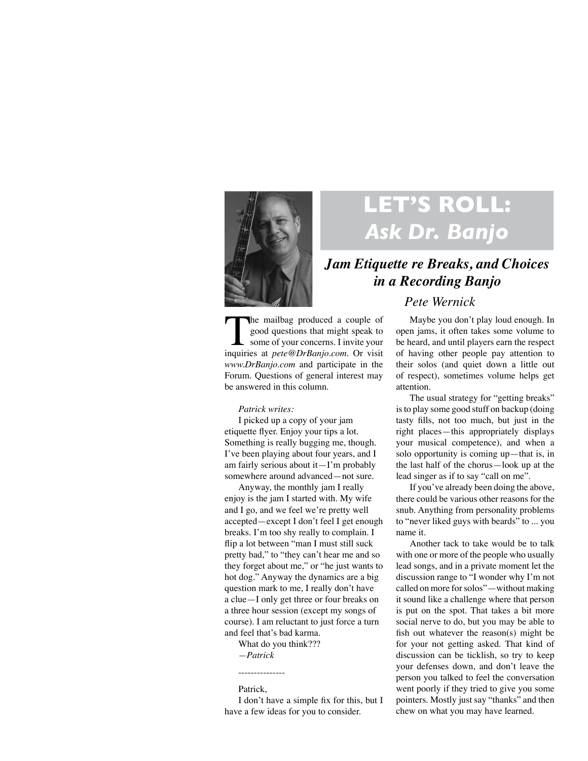

# **LET'S ROLL:**  *Ask Dr. Banjo*

## *Jam Etiquette re Breaks, and Choices in a Recording Banjo*

### *Pete Wernick*

The mailbag produced a couple of good questions that might speak to some of your concerns. I invite your inquiries at *pete@DrBanjo.com*. Or visit *www.DrBanjo.com* and participate in the Forum. Questions of general interest may be answered in this column.

#### *Patrick writes:*

I picked up a copy of your jam etiquette flyer. Enjoy your tips a lot. Something is really bugging me, though. I've been playing about four years, and I am fairly serious about it—I'm probably somewhere around advanced—not sure.

Anyway, the monthly jam I really enjoy is the jam I started with. My wife and I go, and we feel we're pretty well accepted—except I don't feel I get enough breaks. I'm too shy really to complain. I flip a lot between "man I must still suck pretty bad," to "they can't hear me and so they forget about me," or "he just wants to hot dog." Anyway the dynamics are a big question mark to me, I really don't have a clue—I only get three or four breaks on a three hour session (except my songs of course). I am reluctant to just force a turn and feel that's bad karma.

What do you think??? *—Patrick*

#### Patrick,

---------------

I don't have a simple fix for this, but I have a few ideas for you to consider.

Maybe you don't play loud enough. In open jams, it often takes some volume to be heard, and until players earn the respect of having other people pay attention to their solos (and quiet down a little out of respect), sometimes volume helps get attention.

The usual strategy for "getting breaks" is to play some good stuff on backup (doing tasty fills, not too much, but just in the right places—this appropriately displays your musical competence), and when a solo opportunity is coming up—that is, in the last half of the chorus—look up at the lead singer as if to say "call on me".

If you've already been doing the above, there could be various other reasons for the snub. Anything from personality problems to "never liked guys with beards" to ... you name it.

Another tack to take would be to talk with one or more of the people who usually lead songs, and in a private moment let the discussion range to "I wonder why I'm not called on more for solos"—without making it sound like a challenge where that person is put on the spot. That takes a bit more social nerve to do, but you may be able to fish out whatever the reason(s) might be for your not getting asked. That kind of discussion can be ticklish, so try to keep your defenses down, and don't leave the person you talked to feel the conversation went poorly if they tried to give you some pointers. Mostly just say "thanks" and then chew on what you may have learned.